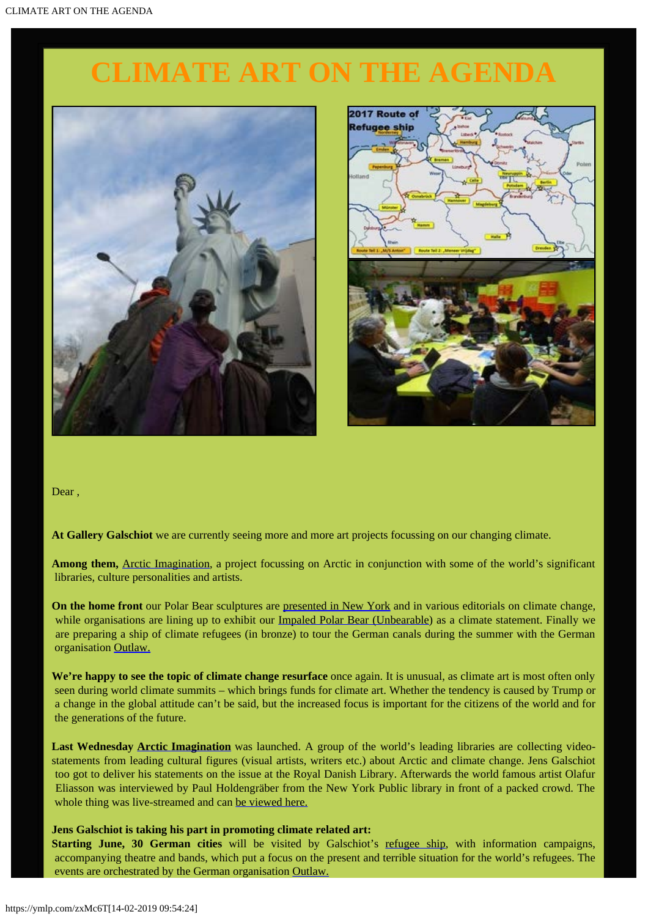# **CLIMATE ART ON THE AGENDA**





Dear ,

**At Gallery Galschiot** we are currently seeing more and more art projects focussing on our changing climate.

**Among them,** [Arctic Imagination](http://www.arcticimagination.com/), a project focussing on Arctic in conjunction with some of the world's significant libraries, culture personalities and artists.

**On the home front** our Polar Bear sculptures are [presented in New York](https://www.facebook.com/events/272443566531783/) and in various editorials on climate change, while organisations are lining up to exhibit our [Impaled Polar Bear \(Unbearable](http://www.galschiot.com/unbearable/)) as a climate statement. Finally we are preparing a ship of climate refugees (in bronze) to tour the German canals during the summer with the German organisation [Outlaw.](https://www.facebook.com/OUTLAW.dieStiftung/?fref=ts)

We're happy to see the topic of climate change resurface once again. It is unusual, as climate art is most often only seen during world climate summits – which brings funds for climate art. Whether the tendency is caused by Trump or a change in the global attitude can't be said, but the increased focus is important for the citizens of the world and for the generations of the future.

**Last Wednesday [Arctic Imagination](http://www.arcticimagination.com/)** was launched. A group of the world's leading libraries are collecting videostatements from leading cultural figures (visual artists, writers etc.) about Arctic and climate change. Jens Galschiot too got to deliver his statements on the issue at the Royal Danish Library. Afterwards the world famous artist Olafur Eliasson was interviewed by Paul Holdengräber from the New York Public library in front of a packed crowd. The whole thing was live-streamed and can [be viewed here.](https://www.facebook.com/sortediamant/videos/1538662146167899/)

**Jens Galschiot is taking his part in promoting climate related art:**

**Starting June, 30 German cities** will be visited by Galschiot's [refugee ship](http://www.galschiot.com/the-refugees-ship/), with information campaigns, accompanying theatre and bands, which put a focus on the present and terrible situation for the world's refugees. The events are orchestrated by the German organisation [Outlaw.](https://www.facebook.com/OUTLAW.dieStiftung/?fref=ts)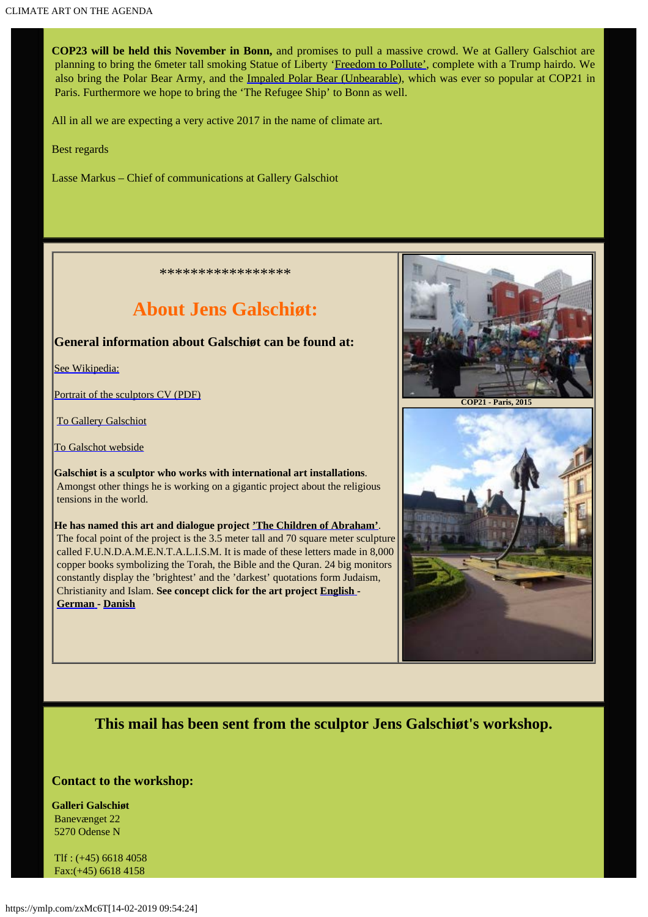**COP23 will be held this November in Bonn,** and promises to pull a massive crowd. We at Gallery Galschiot are planning to bring the 6meter tall smoking Statue of Liberty ['Freedom to Pollute'](http://www.galschiot.com/freedom-to-pollute/), complete with a Trump hairdo. We also bring the Polar Bear Army, and the [Impaled Polar Bear \(Unbearable](http://www.galschiot.com/unbearable/)), which was ever so popular at COP21 in Paris. Furthermore we hope to bring the 'The Refugee Ship' to Bonn as well.

All in all we are expecting a very active 2017 in the name of climate art.

Best regards

Lasse Markus – Chief of communications at Gallery Galschiot

\*\*\*\*\*\*\*\*\*\*\*\*\*\*\*\*\*

## **About Jens Galschiøt:**

### **General information about Galschiøt can be found at:**

[See Wikipedia:](http://en.wikipedia.org/wiki/Galschi%C3%B8t)

[Portrait of the sculptors CV \(PDF\)](http://www.aidoh.dk/new-struct/About-Jens-Galschiot/CV.pdf)

[To Gallery Galschiot](http://www.gallerigalschiot.dk/index_en.html)

[To Galschot webside](http://www.aidoh.dk/)

**Galschiøt is a sculptor who works with international art installations**. Amongst other things he is working on a gigantic project about the religious tensions in the world.

**He has named this art and dialogue project ['The Children of Abraham'](http://fundamentalism.dk/)**. The focal point of the project is the 3.5 meter tall and 70 square meter sculpture called F.U.N.D.A.M.E.N.T.A.L.I.S.M. It is made of these letters made in 8,000 copper books symbolizing the Torah, the Bible and the Quran. 24 big monitors constantly display the 'brightest' and the 'darkest' quotations form Judaism, Christianity and Islam. **See concept click for the art project [English](http://www.fundamentalism.dk/en/wp-content/uploads/Koncepts/GB_Concept_Color_200614.pdf) - [German](http://www.fundamentalism.dk/en/wp-content/uploads/Koncepts/DE_koncept_Farve_270614.pdf) - [Danish](http://fundamentalism.dk/en/wp-content/uploads/Koncepts/DK_koncept_farve_240614.pdf)**



**COP21 - Paris, 2015** 



**This mail has been sent from the sculptor Jens Galschiøt's workshop.**

#### **Contact to the workshop:**

**Galleri Galschiøt** Banevænget 22 5270 Odense N

Tlf : (+45) 6618 4058 Fax:(+45) 6618 4158